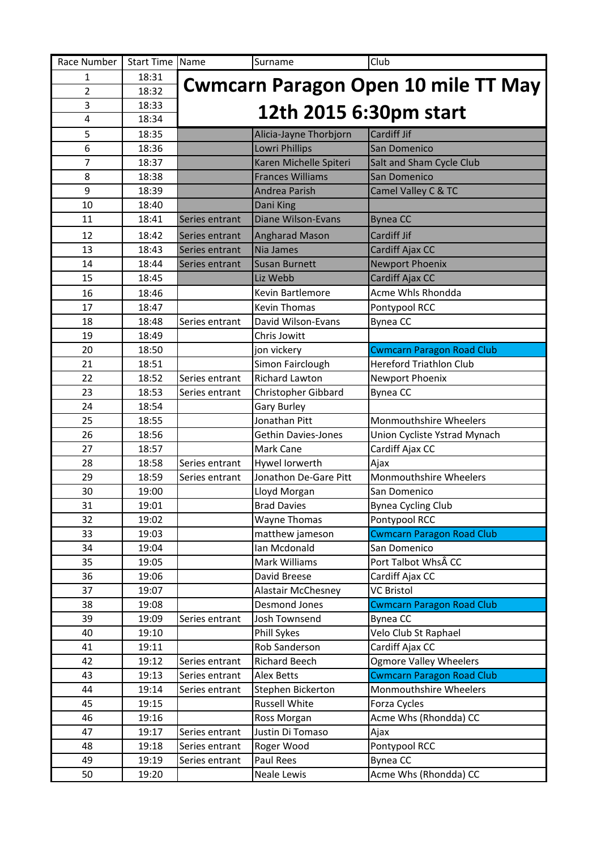| Race Number    | Start Time Name |                                            | Surname                   | Club                             |  |
|----------------|-----------------|--------------------------------------------|---------------------------|----------------------------------|--|
| 1              | 18:31           | <b>Cwmcarn Paragon Open 10 mile TT May</b> |                           |                                  |  |
| $\overline{2}$ | 18:32           |                                            |                           |                                  |  |
| 3              | 18:33           |                                            | 12th 2015 6:30pm start    |                                  |  |
| 4              | 18:34           |                                            |                           |                                  |  |
| 5              | 18:35           |                                            | Alicia-Jayne Thorbjorn    | Cardiff Jif                      |  |
| 6              | 18:36           |                                            | Lowri Phillips            | San Domenico                     |  |
| $\overline{7}$ | 18:37           |                                            | Karen Michelle Spiteri    | Salt and Sham Cycle Club         |  |
| 8              | 18:38           |                                            | <b>Frances Williams</b>   | San Domenico                     |  |
| 9              | 18:39           |                                            | Andrea Parish             | Camel Valley C & TC              |  |
| 10             | 18:40           |                                            | Dani King                 |                                  |  |
| 11             | 18:41           | Series entrant                             | Diane Wilson-Evans        | <b>Bynea CC</b>                  |  |
| 12             | 18:42           | Series entrant                             | <b>Angharad Mason</b>     | Cardiff Jif                      |  |
| 13             | 18:43           | Series entrant                             | Nia James                 | Cardiff Ajax CC                  |  |
| 14             | 18:44           | Series entrant                             | <b>Susan Burnett</b>      | Newport Phoenix                  |  |
| 15             | 18:45           |                                            | Liz Webb                  | Cardiff Ajax CC                  |  |
| 16             | 18:46           |                                            | Kevin Bartlemore          | Acme Whls Rhondda                |  |
| 17             | 18:47           |                                            | <b>Kevin Thomas</b>       | Pontypool RCC                    |  |
| 18             | 18:48           | Series entrant                             | David Wilson-Evans        | <b>Bynea CC</b>                  |  |
| 19             | 18:49           |                                            | Chris Jowitt              |                                  |  |
| 20             | 18:50           |                                            | jon vickery               | <b>Cwmcarn Paragon Road Club</b> |  |
| 21             | 18:51           |                                            | Simon Fairclough          | <b>Hereford Triathlon Club</b>   |  |
| 22             | 18:52           | Series entrant                             | <b>Richard Lawton</b>     | Newport Phoenix                  |  |
| 23             | 18:53           | Series entrant                             | Christopher Gibbard       | <b>Bynea CC</b>                  |  |
| 24             | 18:54           |                                            | <b>Gary Burley</b>        |                                  |  |
| 25             | 18:55           |                                            | Jonathan Pitt             | Monmouthshire Wheelers           |  |
| 26             | 18:56           |                                            | Gethin Davies-Jones       | Union Cycliste Ystrad Mynach     |  |
| 27             | 18:57           |                                            | Mark Cane                 | Cardiff Ajax CC                  |  |
| 28             | 18:58           | Series entrant                             | Hywel lorwerth            | Ajax                             |  |
| 29             | 18:59           | Series entrant                             | Jonathon De-Gare Pitt     | Monmouthshire Wheelers           |  |
| 30             | 19:00           |                                            | Lloyd Morgan              | San Domenico                     |  |
| 31             | 19:01           |                                            | <b>Brad Davies</b>        | <b>Bynea Cycling Club</b>        |  |
| 32             | 19:02           |                                            | Wayne Thomas              | Pontypool RCC                    |  |
| 33             | 19:03           |                                            | matthew jameson           | <b>Cwmcarn Paragon Road Club</b> |  |
| 34             | 19:04           |                                            | Ian Mcdonald              | San Domenico                     |  |
| 35             | 19:05           |                                            | Mark Williams             | Port Talbot Whs CC               |  |
| 36             | 19:06           |                                            | David Breese              | Cardiff Ajax CC                  |  |
| 37             | 19:07           |                                            | <b>Alastair McChesney</b> | <b>VC Bristol</b>                |  |
| 38             | 19:08           |                                            | <b>Desmond Jones</b>      | <b>Cwmcarn Paragon Road Club</b> |  |
| 39             | 19:09           | Series entrant                             | Josh Townsend             | Bynea CC                         |  |
| 40             | 19:10           |                                            | Phill Sykes               | Velo Club St Raphael             |  |
| 41             | 19:11           |                                            | Rob Sanderson             | Cardiff Ajax CC                  |  |
| 42             | 19:12           | Series entrant                             | Richard Beech             | <b>Ogmore Valley Wheelers</b>    |  |
| 43             | 19:13           | Series entrant                             | Alex Betts                | <b>Cwmcarn Paragon Road Club</b> |  |
| 44             | 19:14           | Series entrant                             | Stephen Bickerton         | Monmouthshire Wheelers           |  |
| 45             | 19:15           |                                            | <b>Russell White</b>      | Forza Cycles                     |  |
| 46             | 19:16           |                                            | Ross Morgan               | Acme Whs (Rhondda) CC            |  |
| 47             | 19:17           | Series entrant                             | Justin Di Tomaso          | Ajax                             |  |
| 48             | 19:18           | Series entrant                             | Roger Wood                | Pontypool RCC                    |  |
| 49             | 19:19           | Series entrant                             | Paul Rees                 | <b>Bynea CC</b>                  |  |
| 50             | 19:20           |                                            | Neale Lewis               | Acme Whs (Rhondda) CC            |  |